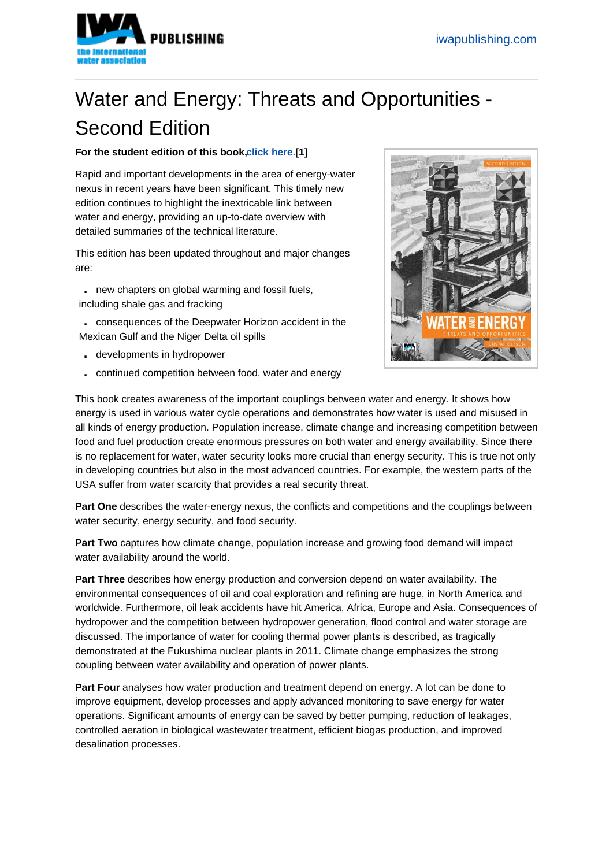## Water and Energy: Threats and Opportu[nities -](https://www.iwapublishing.com)  Second Edition

For the student edition of this book, click here. [1]

Rapid and important developments in the area of energy-water nexus in recent years have been significant. This timely new edition continues to highlight the inext[ricable link b](https://www.iwapublishing.com/books/9781780407326/water-and-energy-threats-and-opportunities-second-edition-student-edition)etween water and energy, providing an up-to-date overview with detailed summaries of the technical literature.

This edition has been updated throughout and major changes are:

. new chapters on global warming and fossil fuels, including shale gas and fracking

- . consequences of the Deepwater Horizon accident in the
- Mexican Gulf and the Niger Delta oil spills
- . developments in hydropower
- . continued competition between food, water and energy



This book creates awareness of the important couplings between water and energy. It shows how energy is used in various water cycle operations and demonstrates how water is used and misused in all kinds of energy production. Population increase, climate change and increasing competition between food and fuel production create enormous pressures on both water and energy availability. Since there is no replacement for water, water security looks more crucial than energy security. This is true not only in developing countries but also in the most advanced countries. For example, the western parts of the USA suffer from water scarcity that provides a real security threat.

Part One describes the water-energy nexus, the conflicts and competitions and the couplings between water security, energy security, and food security.

Part Two captures how climate change, population increase and growing food demand will impact water availability around the world.

Part Three describes how energy production and conversion depend on water availability. The environmental consequences of oil and coal exploration and refining are huge, in North America and worldwide. Furthermore, oil leak accidents have hit America, Africa, Europe and Asia. Consequences of hydropower and the competition between hydropower generation, flood control and water storage are discussed. The importance of water for cooling thermal power plants is described, as tragically demonstrated at the Fukushima nuclear plants in 2011. Climate change emphasizes the strong coupling between water availability and operation of power plants.

Part Four analyses how water production and treatment depend on energy. A lot can be done to improve equipment, develop processes and apply advanced monitoring to save energy for water operations. Significant amounts of energy can be saved by better pumping, reduction of leakages, controlled aeration in biological wastewater treatment, efficient biogas production, and improved desalination processes.